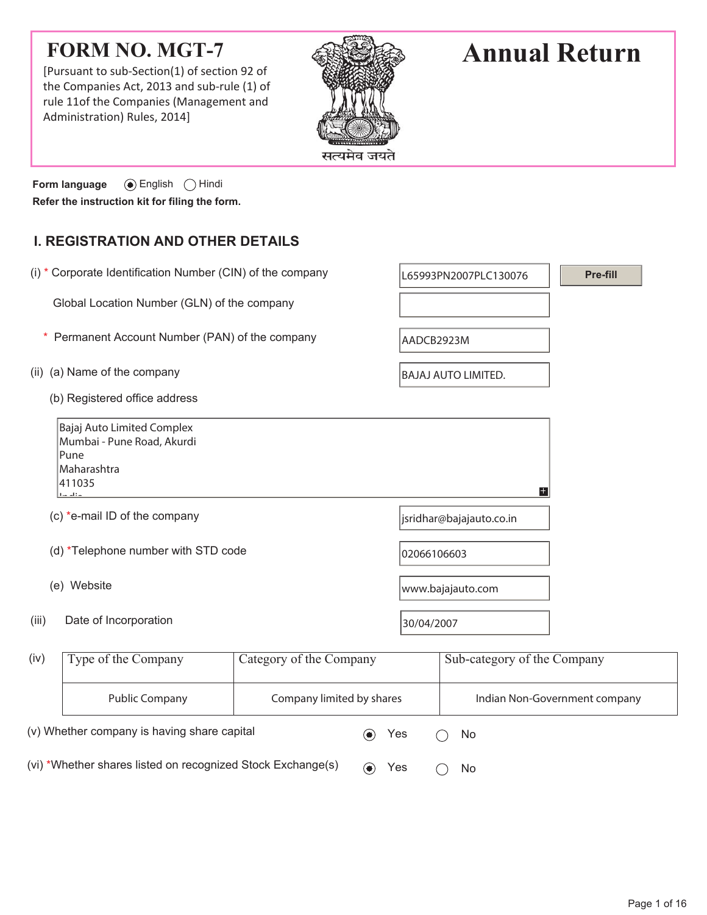## **FORM NO. MGT-7**

[Pursuant to sub-Section(1) of section 92 of the Companies Act, 2013 and sub-rule (1) of rule 11of the Companies (Management and Administration) Rules, 2014]



# **Annual Return**

**Form language**  $\odot$  English  $\odot$  Hindi **Refer the instruction kit for filing the form.**

### **I. REGISTRATION AND OTHER DETAILS**

|                                                                                                       | (i) * Corporate Identification Number (CIN) of the company |            | Pre-fill<br>L65993PN2007PLC130076 |  |  |  |
|-------------------------------------------------------------------------------------------------------|------------------------------------------------------------|------------|-----------------------------------|--|--|--|
| Global Location Number (GLN) of the company                                                           |                                                            |            |                                   |  |  |  |
|                                                                                                       | Permanent Account Number (PAN) of the company              |            | AADCB2923M                        |  |  |  |
| (ii) (a) Name of the company                                                                          |                                                            |            | <b>BAJAJ AUTO LIMITED.</b>        |  |  |  |
| (b) Registered office address                                                                         |                                                            |            |                                   |  |  |  |
| Bajaj Auto Limited Complex<br>Mumbai - Pune Road, Akurdi<br>Pune<br>Maharashtra<br>411035<br>the alta |                                                            |            | $+$                               |  |  |  |
| (c) *e-mail ID of the company                                                                         |                                                            |            | jsridhar@bajajauto.co.in          |  |  |  |
| (d) *Telephone number with STD code                                                                   |                                                            |            | 02066106603                       |  |  |  |
| (e) Website                                                                                           |                                                            |            | www.bajajauto.com                 |  |  |  |
| Date of Incorporation<br>(iii)                                                                        |                                                            | 30/04/2007 |                                   |  |  |  |
| (iv)<br>Type of the Company                                                                           | Category of the Company                                    |            | Sub-category of the Company       |  |  |  |
| <b>Public Company</b>                                                                                 | Company limited by shares                                  |            | Indian Non-Government company     |  |  |  |
| (v) Whether company is having share capital                                                           | $(\bullet)$                                                | Yes        | No                                |  |  |  |

(vi) \*Whether shares listed on recognized Stock Exchange(s)  $\qquad \qquad \bullet \qquad \text{Yes} \qquad \bigcirc \quad \text{No}$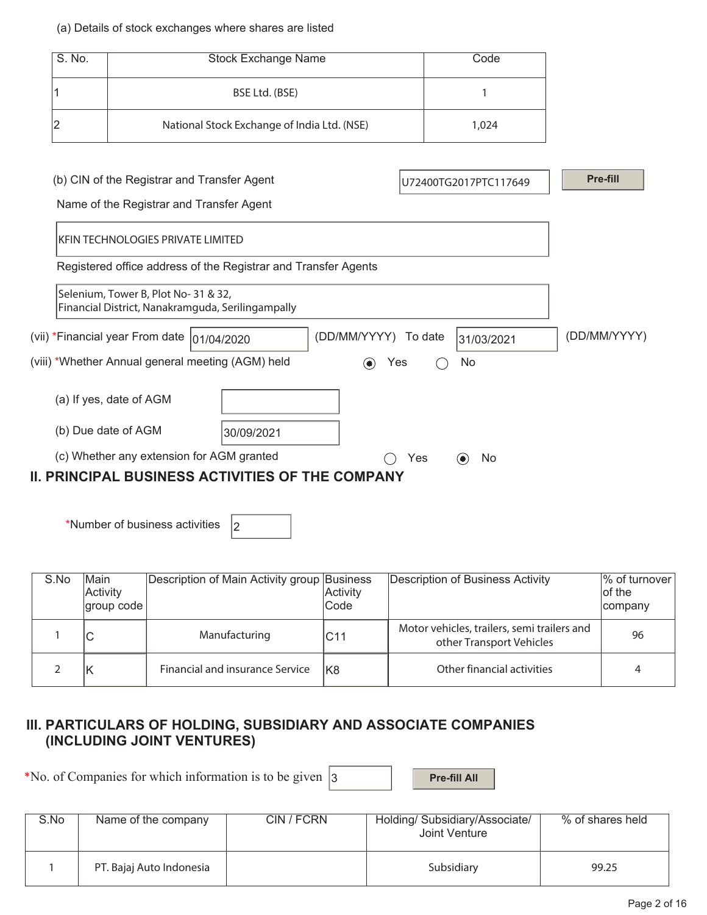#### (a) Details of stock exchanges where shares are listed

| S. No. |                                                                                          | <b>Stock Exchange Name</b>                                     |                      |     | Code                  |              |
|--------|------------------------------------------------------------------------------------------|----------------------------------------------------------------|----------------------|-----|-----------------------|--------------|
|        |                                                                                          | BSE Ltd. (BSE)                                                 |                      |     | 1                     |              |
| 2      |                                                                                          | National Stock Exchange of India Ltd. (NSE)                    |                      |     | 1,024                 |              |
|        |                                                                                          |                                                                |                      |     |                       |              |
|        | (b) CIN of the Registrar and Transfer Agent                                              |                                                                |                      |     | U72400TG2017PTC117649 | Pre-fill     |
|        | Name of the Registrar and Transfer Agent                                                 |                                                                |                      |     |                       |              |
|        | <b>KFIN TECHNOLOGIES PRIVATE LIMITED</b>                                                 |                                                                |                      |     |                       |              |
|        |                                                                                          | Registered office address of the Registrar and Transfer Agents |                      |     |                       |              |
|        | Selenium, Tower B, Plot No-31 & 32,<br>Financial District, Nanakramguda, Serilingampally |                                                                |                      |     |                       |              |
|        | (vii) *Financial year From date  01/04/2020                                              |                                                                | (DD/MM/YYYY) To date |     | 31/03/2021            | (DD/MM/YYYY) |
|        | (viii) *Whether Annual general meeting (AGM) held                                        |                                                                | $\bf o$              | Yes | No                    |              |
|        | (a) If yes, date of AGM                                                                  |                                                                |                      |     |                       |              |
|        | (b) Due date of AGM                                                                      | 30/09/2021                                                     |                      |     |                       |              |
|        | (c) Whether any extension for AGM granted                                                |                                                                |                      | Yes | No<br>$\odot$         |              |
|        |                                                                                          | <b>II. PRINCIPAL BUSINESS ACTIVITIES OF THE COMPANY</b>        |                      |     |                       |              |

\*Number of business activities  $\vert_2$ 

| S.No | Main<br>Activity<br>group code | Description of Main Activity group Business | Activity<br>Code | Description of Business Activity                                        | % of turnover  <br>of the<br>company |
|------|--------------------------------|---------------------------------------------|------------------|-------------------------------------------------------------------------|--------------------------------------|
|      | ◡                              | Manufacturing                               | IC11             | Motor vehicles, trailers, semi trailers and<br>other Transport Vehicles | 96                                   |
|      |                                | Financial and insurance Service             | lK8              | Other financial activities                                              |                                      |

#### **III. PARTICULARS OF HOLDING, SUBSIDIARY AND ASSOCIATE COMPANIES (INCLUDING JOINT VENTURES)**

\*No. of Companies for which information is to be given  $\vert$ 3 **Pre-fill All** 

| S.No | Name of the company      | CIN / FCRN | Holding/ Subsidiary/Associate/<br>Joint Venture | % of shares held |
|------|--------------------------|------------|-------------------------------------------------|------------------|
|      | PT. Bajaj Auto Indonesia |            | Subsidiary                                      | 99.25            |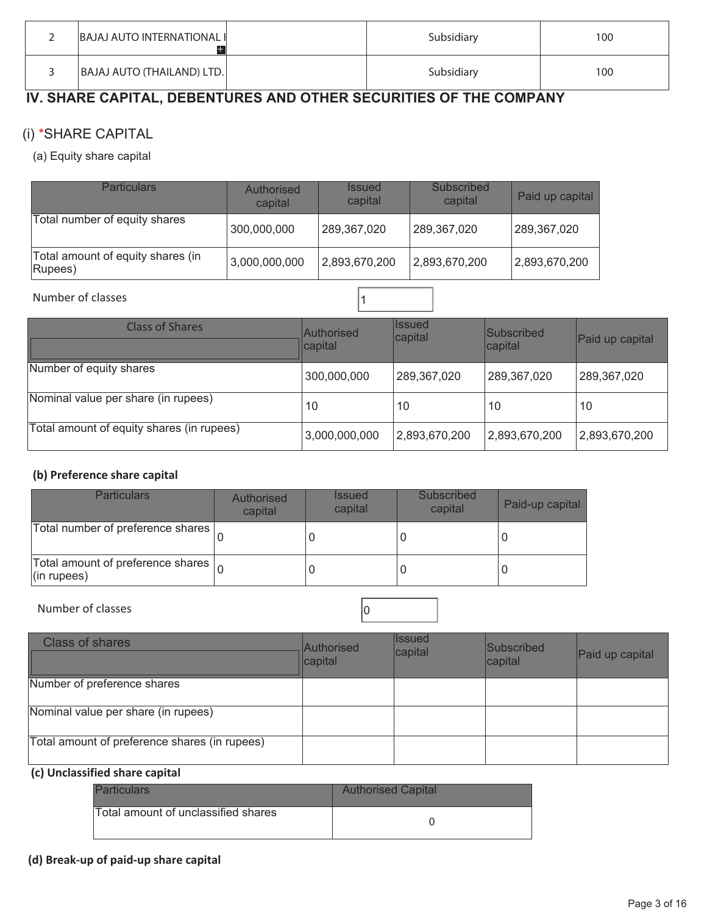| <b>BAJAJ AUTO INTERNATIONAL I</b> | Subsidiary | 100 |
|-----------------------------------|------------|-----|
| BAJAJ AUTO (THAILAND) LTD.        | Subsidiary | 100 |

## **IV. SHARE CAPITAL, DEBENTURES AND OTHER SECURITIES OF THE COMPANY**

### (i) \*SHARE CAPITAL

(a) Equity share capital

| <b>Particulars</b>                           | Authorised<br>capital | <i><b>Issued</b></i><br>capital | Subscribed<br>capital | Paid up capital |
|----------------------------------------------|-----------------------|---------------------------------|-----------------------|-----------------|
| Total number of equity shares                | 300,000,000           | 289,367,020                     | 289,367,020           | 289,367,020     |
| Total amount of equity shares (in<br>Rupees) | 3,000,000,000         | 2,893,670,200                   | 2,893,670,200         | 2,893,670,200   |

Number of classes 11

| <b>Class of Shares</b>                    | Authorised<br>capital | llssued<br>capital | Subscribed<br>capital | Paid up capital |
|-------------------------------------------|-----------------------|--------------------|-----------------------|-----------------|
| Number of equity shares                   | 300,000,000           | 289,367,020        | 289,367,020           | 289,367,020     |
| Nominal value per share (in rupees)       | 10                    | 10                 | 10                    | 10              |
| Total amount of equity shares (in rupees) | 3,000,000,000         | 2,893,670,200      | 2,893,670,200         | 2,893,670,200   |

#### **(b) Preference share capital**

| <b>Particulars</b>                                                      | Authorised<br>capital | <b>Issued</b><br>capital | Subscribed<br>capital | Paid-up capital |
|-------------------------------------------------------------------------|-----------------------|--------------------------|-----------------------|-----------------|
| Total number of preference shares                                       |                       |                          |                       |                 |
| Total amount of preference shares $\vert_{\Omega}$<br>$($ in rupees $)$ |                       |                          |                       |                 |

#### Number of classes and contact the contact of classes and contact of  $\sim$  0

| <b>Class of shares</b>                        | <b>Authorised</b><br>capital | <b>I</b> ssued<br>capital | Subscribed<br>capital | Paid up capital |
|-----------------------------------------------|------------------------------|---------------------------|-----------------------|-----------------|
| Number of preference shares                   |                              |                           |                       |                 |
| Nominal value per share (in rupees)           |                              |                           |                       |                 |
| Total amount of preference shares (in rupees) |                              |                           |                       |                 |

#### **(c) Unclassified share capital**

| <b>Particulars</b>                  | <b>Authorised Capital</b> |
|-------------------------------------|---------------------------|
| Total amount of unclassified shares |                           |

#### **(d) Break-up of paid-up share capital**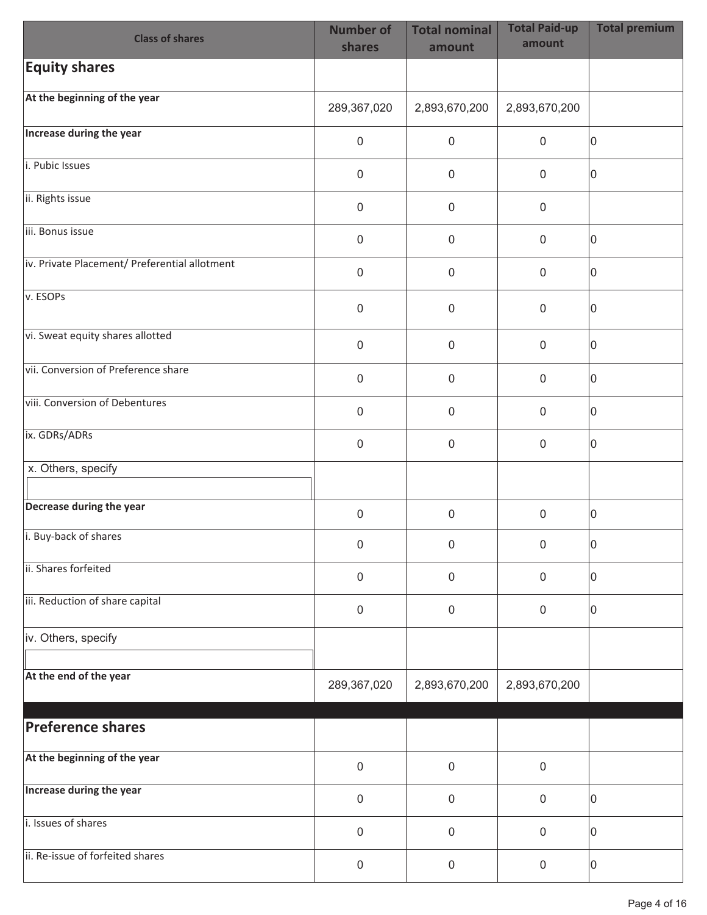| <b>Class of shares</b>                        | <b>Number of</b><br>shares | <b>Total nominal</b><br>amount | <b>Total Paid-up</b><br>amount | <b>Total premium</b> |
|-----------------------------------------------|----------------------------|--------------------------------|--------------------------------|----------------------|
| <b>Equity shares</b>                          |                            |                                |                                |                      |
| At the beginning of the year                  | 289,367,020                | 2,893,670,200                  | 2,893,670,200                  |                      |
| Increase during the year                      | $\mathbf 0$                | $\pmb{0}$                      | $\mathbf 0$                    | 0                    |
| i. Pubic Issues                               | $\mathbf 0$                | $\mathbf 0$                    | $\mathbf 0$                    | 0                    |
| ii. Rights issue                              | $\mathbf 0$                | $\mathbf 0$                    | $\mathbf 0$                    |                      |
| iii. Bonus issue                              | $\mathbf 0$                | $\boldsymbol{0}$               | $\mathbf 0$                    | 0                    |
| iv. Private Placement/ Preferential allotment | $\mathsf{O}\xspace$        | $\mathbf 0$                    | $\mathbf 0$                    | 0                    |
| v. ESOPs                                      | $\boldsymbol{0}$           | $\mathbf 0$                    | $\mathbf 0$                    | 0                    |
| vi. Sweat equity shares allotted              | $\mathbf 0$                | $\mathbf 0$                    | $\mathbf 0$                    | 0                    |
| vii. Conversion of Preference share           | $\mathbf 0$                | $\mathbf 0$                    | $\mathbf 0$                    | 0                    |
| viii. Conversion of Debentures                | $\mathsf{O}\xspace$        | $\mathbf 0$                    | $\mathbf 0$                    | 0                    |
| ix. GDRs/ADRs                                 | $\mathbf 0$                | $\pmb{0}$                      | $\boldsymbol{0}$               | 0                    |
| x. Others, specify                            |                            |                                |                                |                      |
| Decrease during the year                      | $\mathbf 0$                | $\mathbf 0$                    | $\mathbf 0$                    | 0                    |
| i. Buy-back of shares                         | 0                          | 0                              | 0                              | 0                    |
| ii. Shares forfeited                          | $\mathbf 0$                | $\pmb{0}$                      | $\mathbf 0$                    | 0                    |
| iii. Reduction of share capital               | $\mathbf 0$                | $\boldsymbol{0}$               | $\mathbf 0$                    | 0                    |
| iv. Others, specify                           |                            |                                |                                |                      |
| At the end of the year                        | 289,367,020                | 2,893,670,200                  | 2,893,670,200                  |                      |
| <b>Preference shares</b>                      |                            |                                |                                |                      |
| At the beginning of the year                  | $\mathbf 0$                | $\boldsymbol{0}$               | $\mathbf 0$                    |                      |
| Increase during the year                      |                            |                                |                                |                      |
| i. Issues of shares                           | $\mathbf 0$                | $\pmb{0}$                      | $\mathbf 0$                    | 0                    |
| ii. Re-issue of forfeited shares              | $\mathbf 0$                | $\pmb{0}$                      | $\pmb{0}$                      | 0                    |
|                                               | $\mathbf 0$                | $\pmb{0}$                      | $\mathbf 0$                    | 0                    |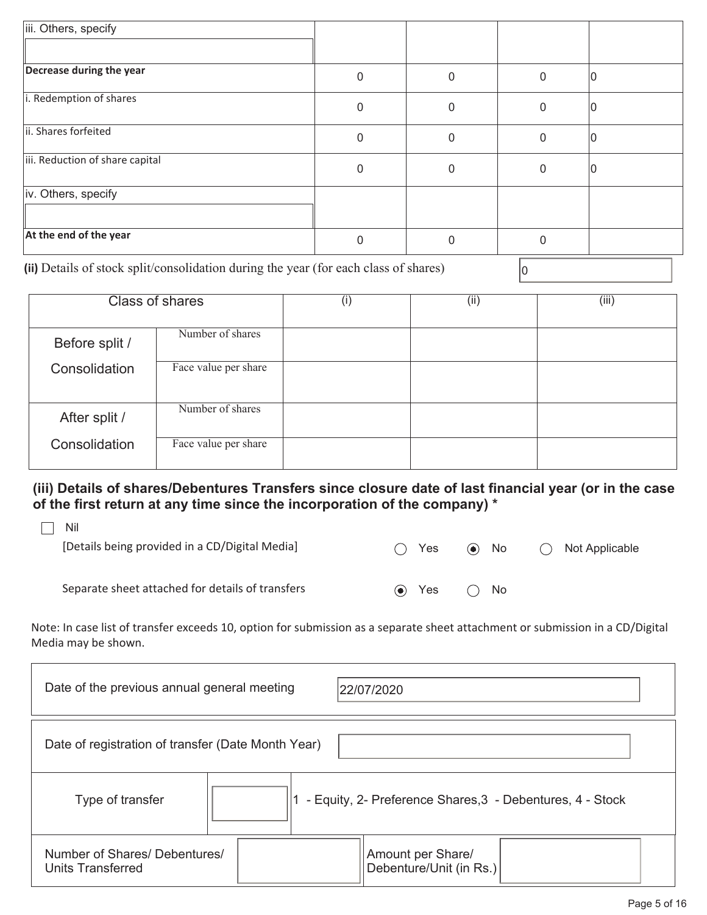| iii. Others, specify            |          |              |              |  |
|---------------------------------|----------|--------------|--------------|--|
|                                 |          |              |              |  |
| Decrease during the year        | 0        | 0            | $\Omega$     |  |
| i. Redemption of shares         | 0        | $\Omega$     | <sup>0</sup> |  |
| ii. Shares forfeited            | 0        | $\mathbf{0}$ | $\Omega$     |  |
| iii. Reduction of share capital | 0        | $\mathbf{0}$ | $\Omega$     |  |
| iv. Others, specify             |          |              |              |  |
| At the end of the year          | $\Omega$ | $\mathbf{0}$ | ∩            |  |

(ii) Details of stock split/consolidation during the year (for each class of shares)  $\vert_0$ 

Ē

|                | <b>Class of shares</b> | (i) | (ii) | (iii) |
|----------------|------------------------|-----|------|-------|
| Before split / | Number of shares       |     |      |       |
| Consolidation  | Face value per share   |     |      |       |
| After split /  | Number of shares       |     |      |       |
| Consolidation  | Face value per share   |     |      |       |

**(iii) Details of shares/Debentures Transfers since closure date of last financial year (or in the case of the first return at any time since the incorporation of the company) \*** 

| Nil                                              |                     |            |              |   |                |
|--------------------------------------------------|---------------------|------------|--------------|---|----------------|
| [Details being provided in a CD/Digital Media]   |                     | <b>Yes</b> | $\odot$ No   | ( | Not Applicable |
| Separate sheet attached for details of transfers | $\bullet$ $\bullet$ | Yes        | $\bigcap$ No |   |                |

Note: In case list of transfer exceeds 10, option for submission as a separate sheet attachment or submission in a CD/Digital Media may be shown.

| Date of the previous annual general meeting               | 22/07/2020                                                |
|-----------------------------------------------------------|-----------------------------------------------------------|
| Date of registration of transfer (Date Month Year)        |                                                           |
| Type of transfer                                          | - Equity, 2- Preference Shares, 3 - Debentures, 4 - Stock |
| Number of Shares/ Debentures/<br><b>Units Transferred</b> | Amount per Share/<br>Debenture/Unit (in Rs.)              |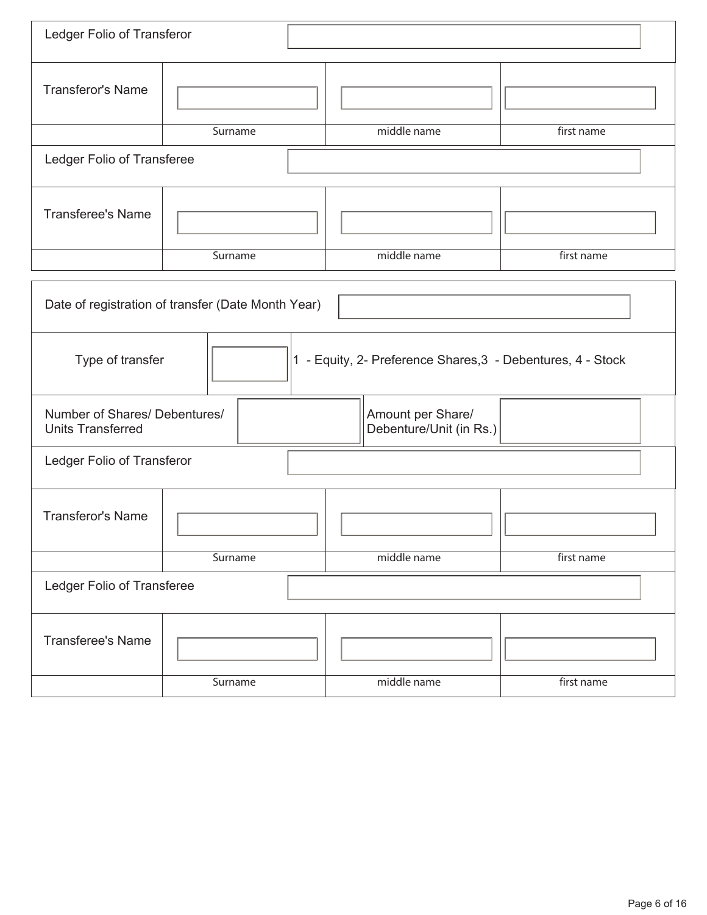|                                                                                 | Ledger Folio of Transferor |                                              |            |  |  |  |
|---------------------------------------------------------------------------------|----------------------------|----------------------------------------------|------------|--|--|--|
| <b>Transferor's Name</b>                                                        |                            |                                              |            |  |  |  |
|                                                                                 | Surname                    | middle name                                  | first name |  |  |  |
| Ledger Folio of Transferee                                                      |                            |                                              |            |  |  |  |
| <b>Transferee's Name</b>                                                        |                            |                                              |            |  |  |  |
|                                                                                 | Surname                    | middle name                                  | first name |  |  |  |
| Date of registration of transfer (Date Month Year)                              |                            |                                              |            |  |  |  |
| 1 - Equity, 2- Preference Shares, 3 - Debentures, 4 - Stock<br>Type of transfer |                            |                                              |            |  |  |  |
| Number of Shares/ Debentures/<br><b>Units Transferred</b>                       |                            | Amount per Share/<br>Debenture/Unit (in Rs.) |            |  |  |  |
| Ledger Folio of Transferor                                                      |                            |                                              |            |  |  |  |
| <b>Transferor's Name</b>                                                        |                            |                                              |            |  |  |  |
|                                                                                 | Surname                    | middle name                                  | first name |  |  |  |
| Ledger Folio of Transferee                                                      |                            |                                              |            |  |  |  |
| <b>Transferee's Name</b>                                                        |                            |                                              |            |  |  |  |
|                                                                                 | Surname                    | middle name                                  | first name |  |  |  |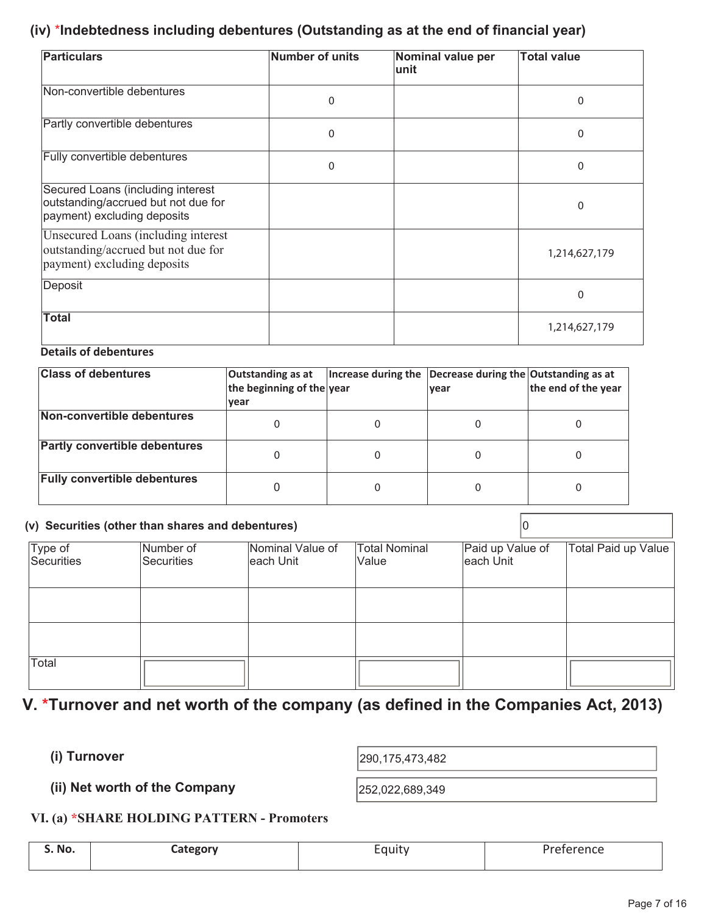### **(iv)** \***Indebtedness including debentures (Outstanding as at the end of financial year)**

| <b>Particulars</b>                                                                                               | <b>Number of units</b> | Nominal value per<br>lunit | <b>Total value</b> |
|------------------------------------------------------------------------------------------------------------------|------------------------|----------------------------|--------------------|
| Non-convertible debentures                                                                                       | $\mathbf{0}$           |                            | 0                  |
| Partly convertible debentures                                                                                    | $\mathbf{0}$           |                            | 0                  |
| Fully convertible debentures                                                                                     | $\mathbf{0}$           |                            | $\Omega$           |
| Secured Loans (including interest<br>outstanding/accrued but not due for<br>payment) excluding deposits          |                        |                            | $\Omega$           |
| <b>Unsecured Loans (including interest</b><br>outstanding/accrued but not due for<br>payment) excluding deposits |                        |                            | 1,214,627,179      |
| Deposit                                                                                                          |                        |                            | 0                  |
| <b>Total</b>                                                                                                     |                        |                            | 1,214,627,179      |

#### **Details of debentures**

| <b>Class of debentures</b>           | Outstanding as at<br>the beginning of the year<br>vear | Increase during the Decrease during the Outstanding as at<br><b>vear</b> | the end of the year |
|--------------------------------------|--------------------------------------------------------|--------------------------------------------------------------------------|---------------------|
| Non-convertible debentures           |                                                        |                                                                          |                     |
| <b>Partly convertible debentures</b> | 0                                                      |                                                                          |                     |
| <b>Fully convertible debentures</b>  |                                                        |                                                                          |                     |

## **(v) Securities (other than shares and debentures)** 0

|                              | r, occanico jouror unan onarco ana accontareo, |                                |                               |                               |                     |
|------------------------------|------------------------------------------------|--------------------------------|-------------------------------|-------------------------------|---------------------|
| Type of<br><b>Securities</b> | Number of<br>Securities                        | Nominal Value of<br>leach Unit | <b>Total Nominal</b><br>Value | Paid up Value of<br>each Unit | Total Paid up Value |
|                              |                                                |                                |                               |                               |                     |
|                              |                                                |                                |                               |                               |                     |
| Total                        |                                                |                                |                               |                               |                     |

## **V. \*Turnover and net worth of the company (as defined in the Companies Act, 2013)**

**(i) Turnover** 

290,175,473,482

**(ii) Net worth of the Company**  252,022,689,349

#### **VI. (a) \*SHARE HOLDING PATTERN - Promoters**

| S. No. | Lategory | -<br>cquity | Preference<br>___ |
|--------|----------|-------------|-------------------|
|        |          |             |                   |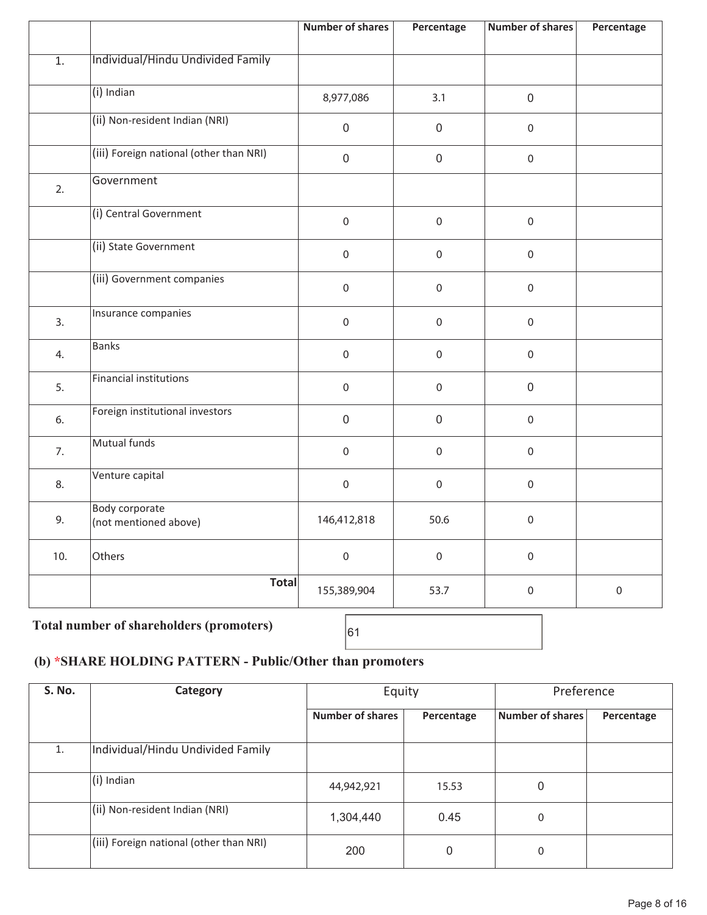|                  |                                                | <b>Number of shares</b> | Percentage       | <b>Number of shares</b> | Percentage  |
|------------------|------------------------------------------------|-------------------------|------------------|-------------------------|-------------|
| $\overline{1}$ . | Individual/Hindu Undivided Family              |                         |                  |                         |             |
|                  | $(i)$ Indian                                   | 8,977,086               | 3.1              | $\mathbf 0$             |             |
|                  | (ii) Non-resident Indian (NRI)                 | $\mathbf 0$             | $\boldsymbol{0}$ | $\mathbf 0$             |             |
|                  | (iii) Foreign national (other than NRI)        | $\mathsf{O}\xspace$     | $\mathbf 0$      | $\mathbf 0$             |             |
| 2.               | Government                                     |                         |                  |                         |             |
|                  | (i) Central Government                         | $\mathbf 0$             | $\mathbf 0$      | $\mathbf 0$             |             |
|                  | (ii) State Government                          | $\mathbf 0$             | $\mathbf 0$      | $\mathbf 0$             |             |
|                  | (iii) Government companies                     | $\mathbf 0$             | $\mathbf 0$      | $\mathbf 0$             |             |
| 3.               | Insurance companies                            | $\mathbf 0$             | $\mathbf 0$      | $\mathbf 0$             |             |
| 4.               | <b>Banks</b>                                   | $\mathbf 0$             | $\mathbf 0$      | $\mathbf 0$             |             |
| 5.               | <b>Financial institutions</b>                  | $\mathbf 0$             | $\mathbf 0$      | $\mathsf{O}\xspace$     |             |
| 6.               | Foreign institutional investors                | $\mathsf{O}\xspace$     | $\mathbf 0$      | $\mathbf 0$             |             |
| 7.               | Mutual funds                                   | $\mathbf 0$             | $\mathbf 0$      | $\mathbf 0$             |             |
| 8.               | Venture capital                                | $\mathbf 0$             | $\mathbf 0$      | $\mathbf 0$             |             |
| 9.               | <b>Body corporate</b><br>(not mentioned above) | 146,412,818             | 50.6             | $\boldsymbol{0}$        |             |
| 10.              | Others                                         | $\mathbf 0$             | $\mathbf 0$      | $\mathbf 0$             |             |
|                  | <b>Total</b>                                   | 155,389,904             | 53.7             | $\mathbf 0$             | $\mathbf 0$ |
|                  |                                                | $\blacksquare$          |                  |                         |             |

## Total number of shareholders (promoters)  $\begin{bmatrix} 61 \end{bmatrix}$

### **(b) \*SHARE HOLDING PATTERN - Public/Other than promoters**

| <b>S. No.</b> | Category                                | Equity           |            | Preference       |            |
|---------------|-----------------------------------------|------------------|------------|------------------|------------|
|               |                                         | Number of shares | Percentage | Number of shares | Percentage |
| 1.            | Individual/Hindu Undivided Family       |                  |            |                  |            |
|               | (i) Indian                              | 44,942,921       | 15.53      | $\mathbf{0}$     |            |
|               | (ii) Non-resident Indian (NRI)          | 1,304,440        | 0.45       | $\mathbf{0}$     |            |
|               | (iii) Foreign national (other than NRI) | 200              | 0          | $\mathbf{0}$     |            |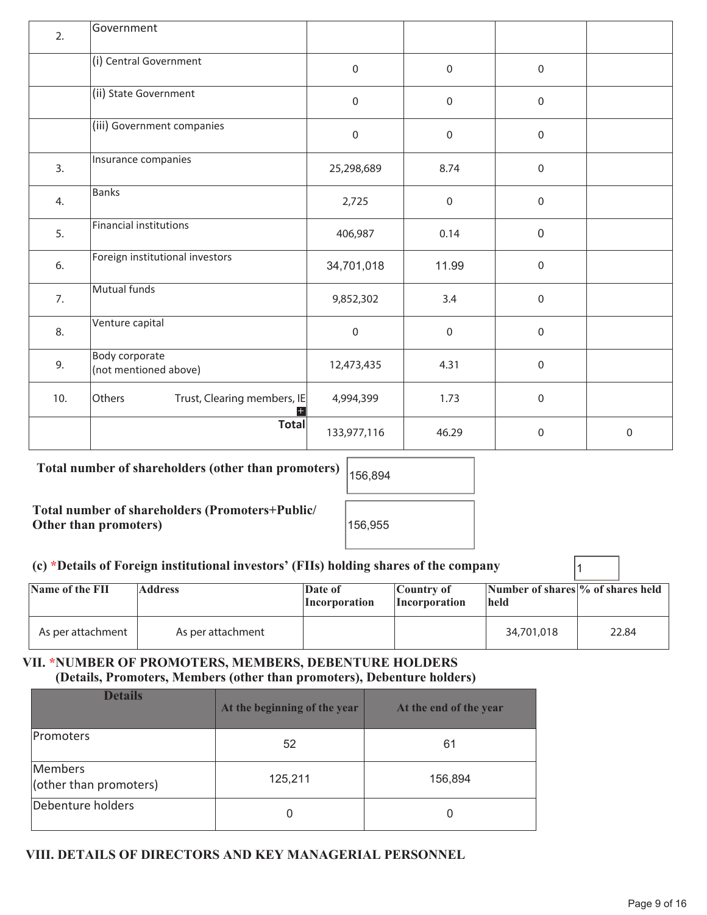| 2.  | Government                                     |                  |              |                  |   |
|-----|------------------------------------------------|------------------|--------------|------------------|---|
|     | (i) Central Government                         | $\boldsymbol{0}$ | $\mathbf 0$  | $\boldsymbol{0}$ |   |
|     | (ii) State Government                          | $\mathbf 0$      | $\mathbf 0$  | $\mathbf 0$      |   |
|     | (iii) Government companies                     | $\mathbf 0$      | $\mathbf 0$  | $\mathbf 0$      |   |
| 3.  | Insurance companies                            | 25,298,689       | 8.74         | $\mathbf 0$      |   |
| 4.  | <b>Banks</b>                                   | 2,725            | $\pmb{0}$    | $\boldsymbol{0}$ |   |
| 5.  | <b>Financial institutions</b>                  | 406,987          | 0.14         | $\mathbf 0$      |   |
| 6.  | Foreign institutional investors                | 34,701,018       | 11.99        | $\mathbf 0$      |   |
| 7.  | Mutual funds                                   | 9,852,302        | 3.4          | $\boldsymbol{0}$ |   |
| 8.  | Venture capital                                | $\mathbf 0$      | $\mathbf{0}$ | $\mathbf 0$      |   |
| 9.  | <b>Body corporate</b><br>(not mentioned above) | 12,473,435       | 4.31         | $\mathbf 0$      |   |
| 10. | Others<br>Trust, Clearing members, IE          | 4,994,399        | 1.73         | $\mathbf 0$      |   |
|     | <b>Total</b>                                   | 133,977,116      | 46.29        | $\mathbf 0$      | 0 |

### Total number of shareholders (other than promoters)  $|_{156,894}$

**Total number of shareholders (Promoters+Public/ Other than promoters)** 

| 156.955 |  |
|---------|--|

#### **(c) \*Details of Foreign institutional investors' (FIIs) holding shares of the company** 1

| Name of the FII   | <b>Address</b>    | Date of<br><i>Incorporation</i> | Country of<br><i>Incorporation</i> | Number of shares \% of shares held<br><b>held</b> |       |
|-------------------|-------------------|---------------------------------|------------------------------------|---------------------------------------------------|-------|
| As per attachment | As per attachment |                                 |                                    | 34,701,018                                        | 22.84 |

### **VII. \*NUMBER OF PROMOTERS, MEMBERS, DEBENTURE HOLDERS (Details, Promoters, Members (other than promoters), Debenture holders)**

| <b>Details</b>                    | At the beginning of the year | At the end of the year |
|-----------------------------------|------------------------------|------------------------|
| <b>Promoters</b>                  | 52                           | 61                     |
| Members<br>(other than promoters) | 125,211                      | 156,894                |
| Debenture holders                 | 0                            | 0                      |

### **VIII. DETAILS OF DIRECTORS AND KEY MANAGERIAL PERSONNEL**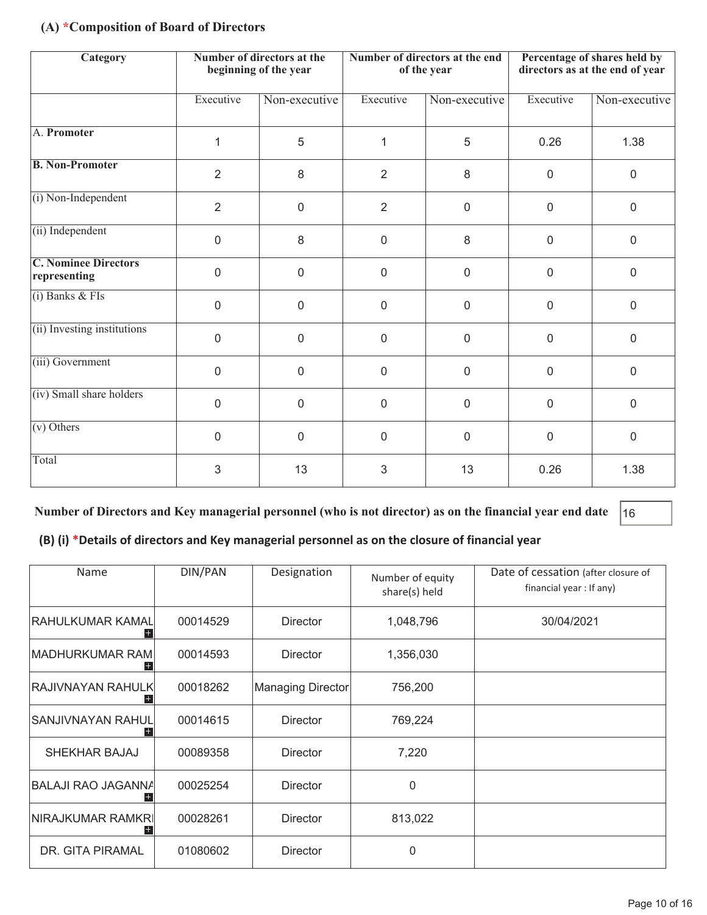#### **(A) \*Composition of Board of Directors**

| Category                                    |                | Number of directors at the<br>beginning of the year |                | Number of directors at the end<br>of the year | Percentage of shares held by<br>directors as at the end of year |               |
|---------------------------------------------|----------------|-----------------------------------------------------|----------------|-----------------------------------------------|-----------------------------------------------------------------|---------------|
|                                             | Executive      | Non-executive                                       | Executive      | Non-executive                                 | Executive                                                       | Non-executive |
| A. Promoter                                 | 1              | 5                                                   | 1              | 5                                             | 0.26                                                            | 1.38          |
| <b>B. Non-Promoter</b>                      | $\overline{2}$ | 8                                                   | 2              | 8                                             | $\mathbf 0$                                                     | $\mathbf 0$   |
| (i) Non-Independent                         | $\overline{2}$ | $\mathbf 0$                                         | $\overline{2}$ | $\mathbf 0$                                   | $\mathbf 0$                                                     | $\mathbf 0$   |
| (ii) Independent                            | $\overline{0}$ | 8                                                   | $\mathbf 0$    | 8                                             | $\mathbf 0$                                                     | $\mathbf 0$   |
| <b>C. Nominee Directors</b><br>representing | $\mathbf 0$    | $\mathbf 0$                                         | $\mathbf 0$    | $\mathbf 0$                                   | $\mathbf 0$                                                     | $\mathbf 0$   |
| $(i)$ Banks & FIs                           | $\mathbf 0$    | $\mathbf 0$                                         | $\mathbf 0$    | $\Omega$                                      | $\mathbf 0$                                                     | $\mathbf 0$   |
| (ii) Investing institutions                 | $\overline{0}$ | $\mathbf 0$                                         | $\mathbf 0$    | $\mathbf 0$                                   | $\mathbf 0$                                                     | $\mathbf 0$   |
| (iii) Government                            | $\mathbf 0$    | 0                                                   | 0              | 0                                             | $\boldsymbol{0}$                                                | $\mathbf 0$   |
| (iv) Small share holders                    | $\Omega$       | $\overline{0}$                                      | $\mathbf 0$    | $\overline{0}$                                | $\mathbf 0$                                                     | $\Omega$      |
| $\overline{(v)$ Others                      | $\mathbf 0$    | $\mathbf 0$                                         | $\mathbf 0$    | $\mathbf 0$                                   | $\mathbf 0$                                                     | $\mathbf 0$   |
| Total                                       | 3              | 13                                                  | 3              | 13                                            | 0.26                                                            | 1.38          |

#### **Number of Directors and Key managerial personnel (who is not director) as on the financial year end date** 16

#### **(B) (i) \*Details of directors and Key managerial personnel as on the closure of financial year**

| Name                                             | DIN/PAN  | Designation       | Number of equity<br>share(s) held | Date of cessation (after closure of<br>financial year : If any) |
|--------------------------------------------------|----------|-------------------|-----------------------------------|-----------------------------------------------------------------|
| RAHULKUMAR KAMAL                                 | 00014529 | <b>Director</b>   | 1,048,796                         | 30/04/2021                                                      |
| MADHURKUMAR RAM<br>00014593                      |          | <b>Director</b>   | 1,356,030                         |                                                                 |
| RAJIVNAYAN RAHULK <br>00018262                   |          | Managing Director | 756,200                           |                                                                 |
| <b>SANJIVNAYAN RAHUL</b>                         | 00014615 | <b>Director</b>   | 769,224                           |                                                                 |
| SHEKHAR BAJAJ                                    | 00089358 | <b>Director</b>   | 7,220                             |                                                                 |
| <b>BALAJI RAO JAGANNA</b>                        | 00025254 | <b>Director</b>   | 0                                 |                                                                 |
| NIRAJKUMAR RAMKRI<br>00028261<br><b>Director</b> |          | 813,022           |                                   |                                                                 |
| DR. GITA PIRAMAL                                 | 01080602 | <b>Director</b>   | 0                                 |                                                                 |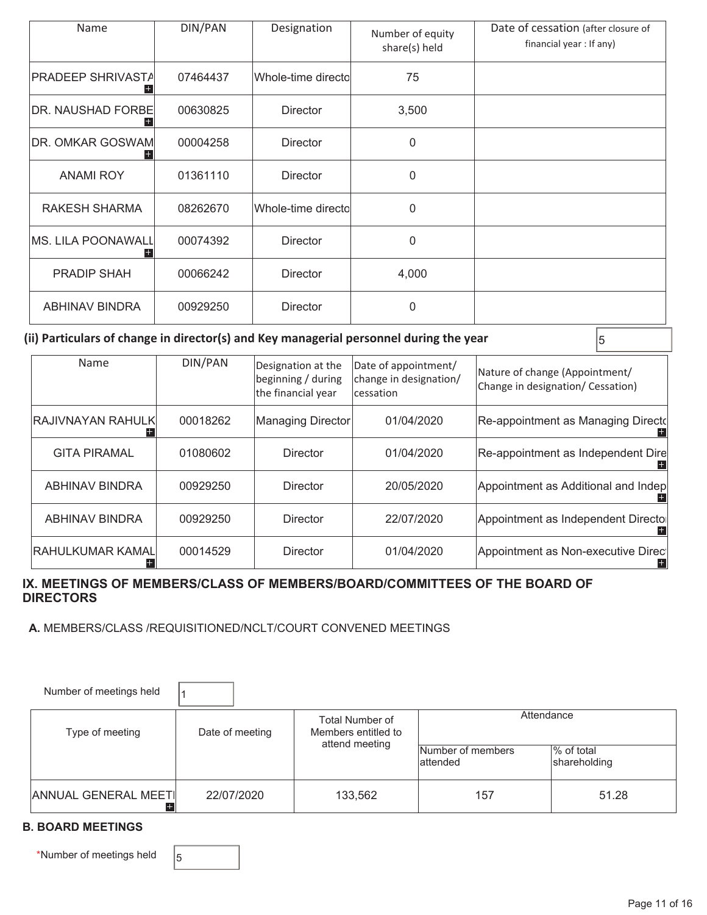| Name                                 | DIN/PAN  | Designation         | Number of equity<br>share(s) held | Date of cessation (after closure of<br>financial year: If any) |
|--------------------------------------|----------|---------------------|-----------------------------------|----------------------------------------------------------------|
| <b>PRADEEP SHRIVASTA</b>             | 07464437 | Whole-time directol | 75                                |                                                                |
| <b>DR. NAUSHAD FORBE</b><br>00630825 |          | <b>Director</b>     | 3,500                             |                                                                |
| DR. OMKAR GOSWAM                     | 00004258 | <b>Director</b>     | 0                                 |                                                                |
| <b>ANAMI ROY</b>                     | 01361110 | <b>Director</b>     | 0                                 |                                                                |
| <b>RAKESH SHARMA</b>                 | 08262670 | Whole-time directo  | $\overline{0}$                    |                                                                |
| MS. LILA POONAWALL                   | 00074392 | <b>Director</b>     | $\overline{0}$                    |                                                                |
| <b>PRADIP SHAH</b><br>00066242       |          | <b>Director</b>     | 4,000                             |                                                                |
| <b>ABHINAV BINDRA</b>                | 00929250 | <b>Director</b>     | $\overline{0}$                    |                                                                |

#### (ii) Particulars of change in director(s) and Key managerial personnel during the year  $\vert$ <sub>5</sub>

|                  | Name                              | DIN/PAN  | Designation at the<br>beginning / during<br>the financial year | Date of appointment/<br>change in designation/<br>lcessation | Nature of change (Appointment/<br>Change in designation/ Cessation) |
|------------------|-----------------------------------|----------|----------------------------------------------------------------|--------------------------------------------------------------|---------------------------------------------------------------------|
|                  | RAJIVNAYAN RAHULK <br>00018262    |          | Managing Director                                              | 01/04/2020                                                   | Re-appointment as Managing Directd                                  |
|                  | <b>GITA PIRAMAL</b>               | 01080602 | Director                                                       | 01/04/2020                                                   | Re-appointment as Independent Dire                                  |
|                  | <b>ABHINAV BINDRA</b>             | 00929250 | Director                                                       | 20/05/2020                                                   | Appointment as Additional and Indep                                 |
|                  | <b>ABHINAV BINDRA</b><br>00929250 |          | Director                                                       | 22/07/2020                                                   | Appointment as Independent Directo                                  |
| RAHULKUMAR KAMAL |                                   | 00014529 | Director                                                       | 01/04/2020                                                   | Appointment as Non-executive Direc<br>+                             |

#### **IX. MEETINGS OF MEMBERS/CLASS OF MEMBERS/BOARD/COMMITTEES OF THE BOARD OF DIRECTORS**

 **A.** MEMBERS/CLASS /REQUISITIONED/NCLT/COURT CONVENED MEETINGS

| Number of meetings held            |                 |                                        |                                |                            |  |
|------------------------------------|-----------------|----------------------------------------|--------------------------------|----------------------------|--|
| Type of meeting                    | Date of meeting | Total Number of<br>Members entitled to | Attendance                     |                            |  |
|                                    |                 | attend meeting                         | Number of members<br>lattended | % of total<br>shareholding |  |
| <b>ANNUAL GENERAL MEETI</b><br>$+$ | 22/07/2020      | 133,562                                | 157                            | 51.28                      |  |

#### **B. BOARD MEETINGS**

\*Number of meetings held  $\Big|_5$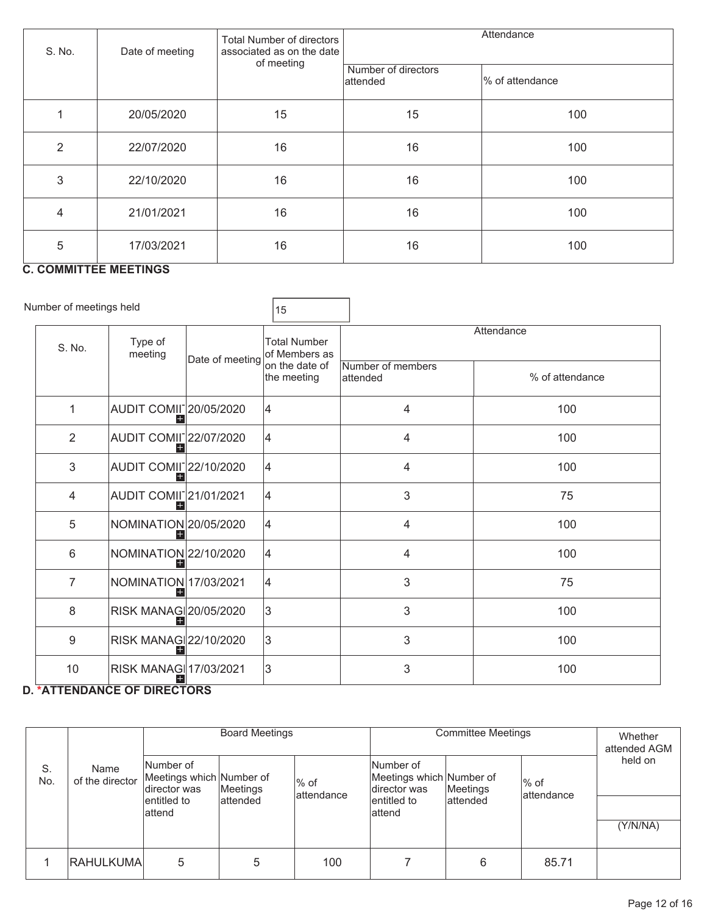| S. No.         | Date of meeting | <b>Total Number of directors</b><br>associated as on the date<br>of meeting | Attendance                      |                 |  |
|----------------|-----------------|-----------------------------------------------------------------------------|---------------------------------|-----------------|--|
|                |                 |                                                                             | Number of directors<br>attended | % of attendance |  |
|                | 20/05/2020      | 15                                                                          | 15                              | 100             |  |
| $\overline{2}$ | 22/07/2020      | 16                                                                          | 16                              | 100             |  |
| 3              | 22/10/2020      | 16                                                                          | 16                              | 100             |  |
| $\overline{4}$ | 21/01/2021      | 16                                                                          | 16                              | 100             |  |
| 5              | 17/03/2021      | 16                                                                          | 16                              | 100             |  |

### **C. COMMITTEE MEETINGS**

| Number of meetings held |                                                   |                 | 15                                   |                                |                 |  |  |
|-------------------------|---------------------------------------------------|-----------------|--------------------------------------|--------------------------------|-----------------|--|--|
| S. No.                  | Type of<br>meeting                                | Date of meeting | <b>Total Number</b><br>of Members as | Attendance                     |                 |  |  |
|                         |                                                   |                 | on the date of<br>the meeting        | Number of members<br>lattended | % of attendance |  |  |
| $\mathbf 1$             | AUDIT COMII <sup>-</sup> 20/05/2020               |                 | 14                                   | 4                              | 100             |  |  |
| 2                       | AUDIT COMIL22/07/2020                             |                 | 4                                    | 4                              | 100             |  |  |
| 3                       | AUDIT COMII <sup>-</sup> 22/10/2020               |                 | 14                                   | 4                              | 100             |  |  |
| $\overline{4}$          | <b>AUDIT COMII</b> <sup>21/01/2021</sup><br>$^+$  |                 | 4                                    | 3                              | 75              |  |  |
| 5                       | NOMINATION 20/05/2020                             |                 | 4                                    | 4                              | 100             |  |  |
| 6                       | NOMINATION 22/10/2020                             |                 | 14                                   | 4                              | 100             |  |  |
| $\overline{7}$          | NOMINATION 17/03/2021                             |                 | 14                                   | 3                              | 75              |  |  |
| 8                       | RISK MANAG 20/05/2020                             |                 | 3                                    | 3                              | 100             |  |  |
| 9                       | RISK MANAG 22/10/2020                             |                 | 3                                    | 3                              | 100             |  |  |
| 10                      | RISK MANAG 17/03/2021<br>$\overline{\phantom{m}}$ |                 | 3                                    | 3                              | 100             |  |  |

#### **D. \*ATTENDANCE OF DIRECTORS**

|           |                         | <b>Board Meetings</b>                                  |           | <b>Committee Meetings</b> |                                                       |           | Whether<br>attended AGM |          |
|-----------|-------------------------|--------------------------------------------------------|-----------|---------------------------|-------------------------------------------------------|-----------|-------------------------|----------|
| S.<br>No. | Name<br>of the director | Number of<br>Meetings which Number of<br>Idirector was | Meetings  | % of<br>lattendance       | Number of<br>Meetings which Number of<br>director was | Meetings  | $%$ of<br>lattendance   | held on  |
|           |                         | lentitled to<br>lattend                                | lattended |                           | lentitled to<br>lattend                               | lattended |                         | (Y/N/NA) |
|           | IRAHULKUMAI             | 5                                                      | 5         | 100                       |                                                       | 6         | 85.71                   |          |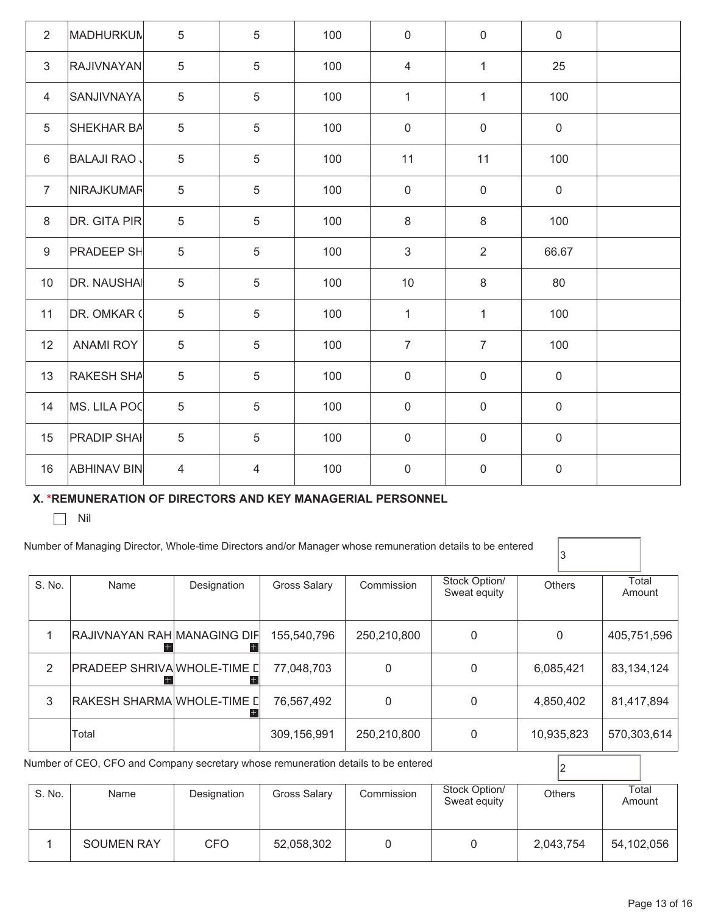| 2              | <b>MADHURKUN</b>   | 5               | 5              | 100 | $\pmb{0}$      | $\mathsf{O}\xspace$ | $\mathbf 0$      |  |
|----------------|--------------------|-----------------|----------------|-----|----------------|---------------------|------------------|--|
| 3              | <b>RAJIVNAYAN</b>  | 5               | 5              | 100 | $\overline{4}$ | $\mathbf{1}$        | 25               |  |
| $\overline{4}$ | <b>SANJIVNAYA</b>  | 5               | 5              | 100 | $\mathbf{1}$   | $\mathbf{1}$        | 100              |  |
| 5              | SHEKHAR BA         | 5               | 5              | 100 | $\mathbf 0$    | $\mathbf 0$         | $\mathbf 0$      |  |
| 6              | <b>BALAJI RAO</b>  | 5               | 5              | 100 | 11             | 11                  | 100              |  |
| $\overline{7}$ | NIRAJKUMAF         | $5\phantom{.0}$ | 5              | 100 | $\mathbf 0$    | $\mathbf 0$         | $\mathbf 0$      |  |
| 8              | DR. GITA PIR       | 5               | 5              | 100 | 8              | 8                   | 100              |  |
| 9              | <b>PRADEEP SH</b>  | 5               | 5              | 100 | 3              | $\overline{2}$      | 66.67            |  |
| 10             | <b>DR. NAUSHAI</b> | 5               | 5              | 100 | 10             | 8                   | 80               |  |
| 11             | DR. OMKAR (        | 5               | 5              | 100 | $\mathbf{1}$   | $\mathbf{1}$        | 100              |  |
| 12             | <b>ANAMI ROY</b>   | 5               | 5              | 100 | $\overline{7}$ | $\overline{7}$      | 100              |  |
| 13             | <b>RAKESH SHA</b>  | $5\phantom{.0}$ | 5              | 100 | $\mathbf 0$    | $\mathbf 0$         | $\boldsymbol{0}$ |  |
| 14             | MS. LILA POC       | 5               | 5              | 100 | $\mathbf 0$    | $\mathbf 0$         | $\mathbf 0$      |  |
| 15             | <b>PRADIP SHAI</b> | 5               | 5              | 100 | $\mathbf 0$    | $\mathsf{O}\xspace$ | $\mathbf 0$      |  |
| 16             | <b>ABHINAV BIN</b> | $\overline{4}$  | $\overline{4}$ | 100 | $\mathbf 0$    | $\mathsf 0$         | $\mathbf 0$      |  |

#### **X. \*REMUNERATION OF DIRECTORS AND KEY MANAGERIAL PERSONNEL**

 $\Box$  Nil

| S. No. | Name                               | Designation | <b>Gross Salary</b> | Commission   | Stock Option/<br>Sweat equity | <b>Others</b> | Total<br>Amount |  |
|--------|------------------------------------|-------------|---------------------|--------------|-------------------------------|---------------|-----------------|--|
|        | <b>RAJIVNAYAN RAH MANAGING DIF</b> |             | 155,540,796         | 250,210,800  | $\Omega$                      | 0             | 405,751,596     |  |
| 2      | PRADEEP SHRIVA WHOLE-TIME D        |             | 77,048,703          | 0            | $\Omega$                      | 6,085,421     | 83,134,124      |  |
| 3      | RAKESH SHARMA WHOLE-TIME []        |             | 76,567,492          | <sup>0</sup> | $\Omega$                      | 4,850,402     | 81,417,894      |  |
|        | Total                              |             | 309,156,991         | 250,210,800  | 0                             | 10,935,823    | 570,303,614     |  |

| S. No. | Name              | Designation | <b>Gross Salary</b> | Commission | Stock Option/<br>Sweat equity | <b>Others</b> | Total<br>Amount |
|--------|-------------------|-------------|---------------------|------------|-------------------------------|---------------|-----------------|
|        | <b>SOUMEN RAY</b> | CFO         | 52,058,302          |            |                               | 2,043,754     | 54,102,056      |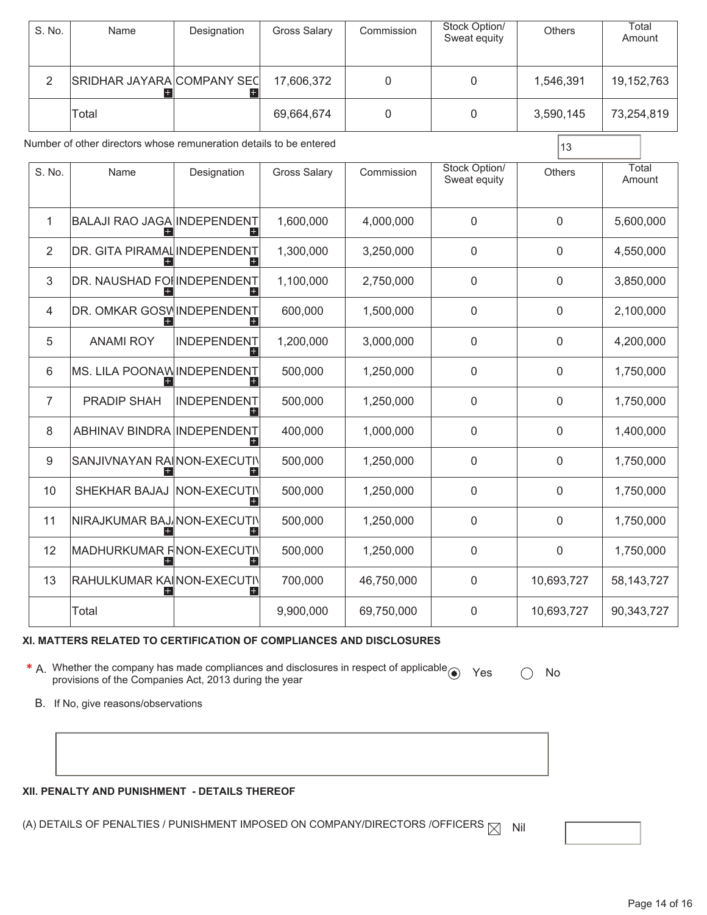|                                                                          | S. No.         | Name                                         | Designation               | <b>Gross Salary</b> | Commission  | Stock Option/<br>Sweat equity | Others        | Total<br>Amount |
|--------------------------------------------------------------------------|----------------|----------------------------------------------|---------------------------|---------------------|-------------|-------------------------------|---------------|-----------------|
|                                                                          | $\overline{2}$ | SRIDHAR JAYARA COMPANY SEC<br>H              | H                         | 17,606,372          | $\mathbf 0$ | $\overline{0}$                | 1,546,391     | 19, 152, 763    |
|                                                                          | Total          |                                              |                           | 69,664,674          | 0           | $\mathbf 0$                   | 3,590,145     | 73,254,819      |
| Number of other directors whose remuneration details to be entered<br>13 |                |                                              |                           |                     |             |                               |               |                 |
|                                                                          | S. No.         | Name                                         | Designation               | <b>Gross Salary</b> | Commission  | Stock Option/<br>Sweat equity | <b>Others</b> | Total<br>Amount |
|                                                                          | 1              | <b>BALAJI RAO JAGA INDEPENDENT</b><br>$^{+}$ | $+$                       | 1,600,000           | 4,000,000   | $\mathbf 0$                   | $\mathbf 0$   | 5,600,000       |
|                                                                          | 2              | DR. GITA PIRAMAL INDEPENDENT<br>$\pm$        | $+$                       | 1,300,000           | 3,250,000   | $\mathbf 0$                   | 0             | 4,550,000       |
|                                                                          | 3              | DR. NAUSHAD FOI INDEPENDENT                  | $+$                       | 1,100,000           | 2,750,000   | $\mathbf 0$                   | $\mathbf 0$   | 3,850,000       |
|                                                                          | 4              | DR. OMKAR GOSV INDEPENDENT<br>$+$            | $+$                       | 600,000             | 1,500,000   | $\boldsymbol{0}$              | 0             | 2,100,000       |
|                                                                          | 5              | <b>ANAMI ROY</b>                             | <b>INDEPENDENT</b><br>$+$ | 1,200,000           | 3,000,000   | $\mathbf 0$                   | 0             | 4,200,000       |
|                                                                          | 6              | MS. LILA POONAW INDEPENDENT                  | $+$                       | 500,000             | 1,250,000   | $\mathbf 0$                   | 0             | 1,750,000       |
|                                                                          | $\overline{7}$ | <b>PRADIP SHAH</b>                           | <b>INDEPENDENT</b><br>$+$ | 500,000             | 1,250,000   | $\mathbf 0$                   | 0             | 1,750,000       |
|                                                                          | 8              | ABHINAV BINDRA INDEPENDENT                   | $+$                       | 400,000             | 1,000,000   | $\mathbf 0$                   | 0             | 1,400,000       |
|                                                                          | 9              | SANJIVNAYAN RA  NON-EXECUTIV<br>$+$          | $+$                       | 500,000             | 1,250,000   | $\boldsymbol{0}$              | 0             | 1,750,000       |
|                                                                          | 10             | SHEKHAR BAJAJ                                | NON-EXECUTIV<br>$+$       | 500,000             | 1,250,000   | $\mathbf 0$                   | $\mathbf 0$   | 1,750,000       |
|                                                                          | 11             | NIRAJKUMAR BAJ NON-EXECUTIV                  | $+$                       | 500,000             | 1,250,000   | $\mathbf 0$                   | 0             | 1,750,000       |
|                                                                          | 12             | MADHURKUMAR FINON-EXECUTIV                   | $+$                       | 500,000             | 1,250,000   | $\mathbf 0$                   | 0             | 1,750,000       |
|                                                                          | 13             | RAHULKUMAR KA  NON-EXECUTIV                  | $+$                       | 700,000             | 46,750,000  | $\boldsymbol{0}$              | 10,693,727    | 58, 143, 727    |
|                                                                          |                | Total                                        |                           | 9,900,000           | 69,750,000  | $\overline{0}$                | 10,693,727    | 90,343,727      |

#### **XI. MATTERS RELATED TO CERTIFICATION OF COMPLIANCES AND DISCLOSURES**

**\*** A. Whether the company has made compliances and disclosures in respect of applicable ● Yes ○ No<br>provisions of the Companies Act, 2013 during the year

B. If No, give reasons/observations

#### **XII. PENALTY AND PUNISHMENT - DETAILS THEREOF**

(A) DETAILS OF PENALTIES / PUNISHMENT IMPOSED ON COMPANY/DIRECTORS /OFFICERS  $\boxtimes$  Nil



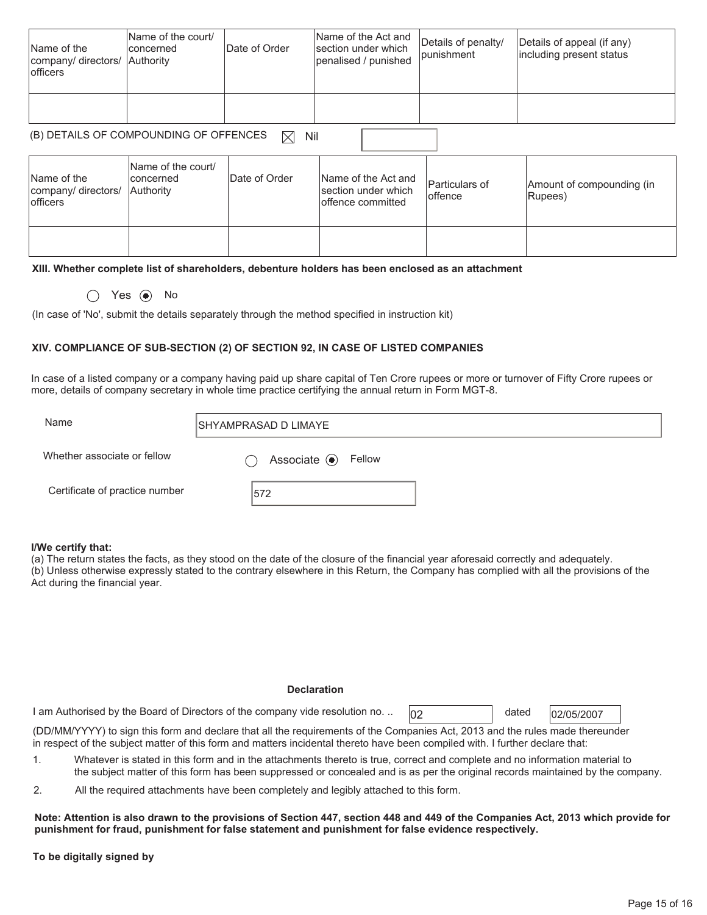| Name of the<br>company/ directors/ Authority<br><b>lofficers</b> | Name of the court/<br>concerned | Date of Order | Name of the Act and<br>section under which<br>penalised / punished | Details of penalty/<br><i>lpunishment</i> | Details of appeal (if any)<br>including present status |
|------------------------------------------------------------------|---------------------------------|---------------|--------------------------------------------------------------------|-------------------------------------------|--------------------------------------------------------|
|                                                                  |                                 |               |                                                                    |                                           |                                                        |

## (B) DETAILS OF COMPOUNDING OF OFFENCES  $\boxtimes$  Nil

| Name of the<br>company/ directors/<br><b>lofficers</b> | Name of the court/<br>lconcerned<br><b>Authority</b> | Date of Order | Name of the Act and<br>section under which<br>offence committed | <b>Particulars of</b><br>loffence | Amount of compounding (in<br>Rupees) |  |
|--------------------------------------------------------|------------------------------------------------------|---------------|-----------------------------------------------------------------|-----------------------------------|--------------------------------------|--|
|                                                        |                                                      |               |                                                                 |                                   |                                      |  |

#### **XIII. Whether complete list of shareholders, debenture holders has been enclosed as an attachment**

 $\bigcap$  Yes  $\bigcirc$  No

(In case of 'No', submit the details separately through the method specified in instruction kit)

#### **XIV. COMPLIANCE OF SUB-SECTION (2) OF SECTION 92, IN CASE OF LISTED COMPANIES**

In case of a listed company or a company having paid up share capital of Ten Crore rupees or more or turnover of Fifty Crore rupees or more, details of company secretary in whole time practice certifying the annual return in Form MGT-8.

| Name                           | ISHYAMPRASAD D LIMAYE    |
|--------------------------------|--------------------------|
| Whether associate or fellow    | Associate $\odot$ Fellow |
| Certificate of practice number | 572                      |

#### **I/We certify that:**

(a) The return states the facts, as they stood on the date of the closure of the financial year aforesaid correctly and adequately. (b) Unless otherwise expressly stated to the contrary elsewhere in this Return, the Company has complied with all the provisions of the Act during the financial year.

#### **Declaration**

1 am Authorised by the Board of Directors of the company vide resolution no. ..  $\sqrt{0.025}$  dated  $\sqrt{0.02007}$ 

dated

(DD/MM/YYYY) to sign this form and declare that all the requirements of the Companies Act, 2013 and the rules made thereunder in respect of the subject matter of this form and matters incidental thereto have been compiled with. I further declare that:

- 1. Whatever is stated in this form and in the attachments thereto is true, correct and complete and no information material to the subject matter of this form has been suppressed or concealed and is as per the original records maintained by the company.
- 2. All the required attachments have been completely and legibly attached to this form.

**Note: Attention is also drawn to the provisions of Section 447, section 448 and 449 of the Companies Act, 2013 which provide for punishment for fraud, punishment for false statement and punishment for false evidence respectively.** 

**To be digitally signed by**